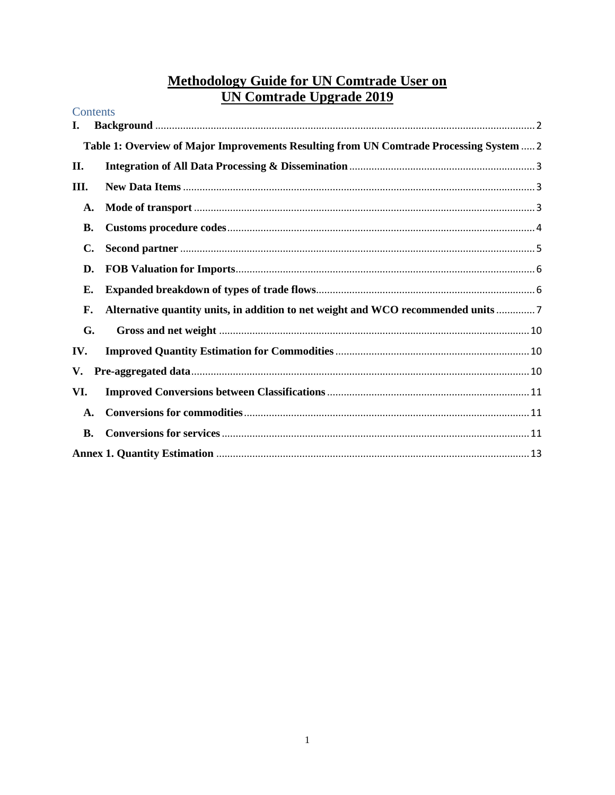# Methodology Guide for UN Comtrade User on<br>UN Comtrade Upgrade 2019

| Contents       |                                                                                         |  |  |  |
|----------------|-----------------------------------------------------------------------------------------|--|--|--|
| I.             |                                                                                         |  |  |  |
|                | Table 1: Overview of Major Improvements Resulting from UN Comtrade Processing System  2 |  |  |  |
| II.            |                                                                                         |  |  |  |
| Ш.             |                                                                                         |  |  |  |
| A.             |                                                                                         |  |  |  |
| <b>B.</b>      |                                                                                         |  |  |  |
| $\mathbf{C}$ . |                                                                                         |  |  |  |
| D.             |                                                                                         |  |  |  |
| Е.             |                                                                                         |  |  |  |
| F.             | Alternative quantity units, in addition to net weight and WCO recommended units         |  |  |  |
| G.             |                                                                                         |  |  |  |
| IV.            |                                                                                         |  |  |  |
| V.             |                                                                                         |  |  |  |
| VI.            |                                                                                         |  |  |  |
| $\mathbf{A}$ . |                                                                                         |  |  |  |
| В.             |                                                                                         |  |  |  |
|                |                                                                                         |  |  |  |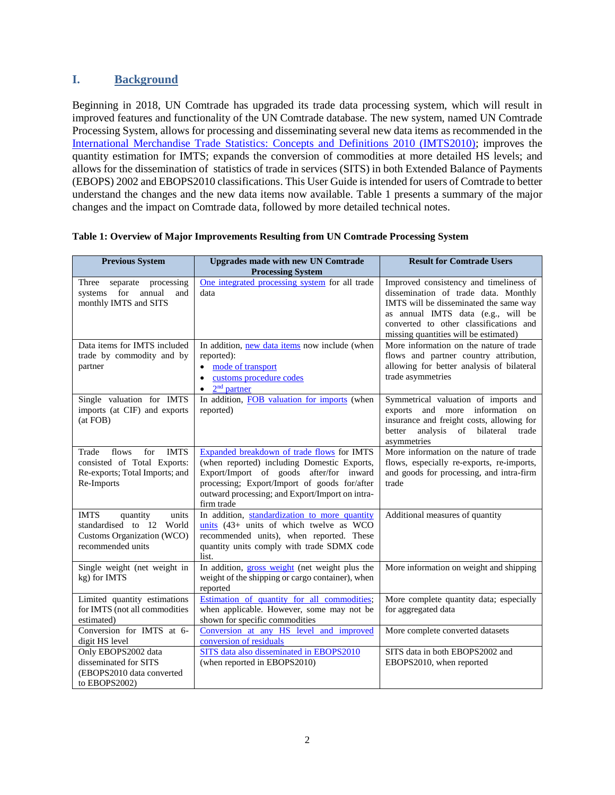# <span id="page-1-0"></span>**I. Background**

Beginning in 2018, UN Comtrade has upgraded its trade data processing system, which will result in improved features and functionality of the UN Comtrade database. The new system, named UN Comtrade Processing System, allows for processing and disseminating several new data items as recommended in the [International Merchandise Trade Statistics: Concepts and Definitions 2010 \(IMTS2010\);](https://unstats.un.org/unsd/trade/eg-imts/IMTS%202010%20(English).pdf) improves the quantity estimation for IMTS; expands the conversion of commodities at more detailed HS levels; and allows for the dissemination of statistics of trade in services (SITS) in both Extended Balance of Payments (EBOPS) 2002 and EBOPS2010 classifications. This User Guide is intended for users of Comtrade to better understand the changes and the new data items now available. Table 1 presents a summary of the major changes and the impact on Comtrade data, followed by more detailed technical notes.

| <b>Previous System</b>                                                                                              | <b>Upgrades made with new UN Comtrade</b><br><b>Processing System</b>                                                                                                                                                                                 | <b>Result for Comtrade Users</b>                                                                                                                                                                                                                  |
|---------------------------------------------------------------------------------------------------------------------|-------------------------------------------------------------------------------------------------------------------------------------------------------------------------------------------------------------------------------------------------------|---------------------------------------------------------------------------------------------------------------------------------------------------------------------------------------------------------------------------------------------------|
| Three<br>separate processing<br>for<br>annual<br>systems<br>and<br>monthly IMTS and SITS                            | One integrated processing system for all trade<br>data                                                                                                                                                                                                | Improved consistency and timeliness of<br>dissemination of trade data. Monthly<br>IMTS will be disseminated the same way<br>as annual IMTS data (e.g., will be<br>converted to other classifications and<br>missing quantities will be estimated) |
| Data items for IMTS included<br>trade by commodity and by<br>partner                                                | In addition, new data items now include (when<br>reported):<br>mode of transport<br>$\bullet$<br>customs procedure codes<br>$2nd$ partner<br>$\bullet$                                                                                                | More information on the nature of trade<br>flows and partner country attribution,<br>allowing for better analysis of bilateral<br>trade asymmetries                                                                                               |
| Single valuation for IMTS<br>imports (at CIF) and exports<br>(at FOB)                                               | In addition, FOB valuation for imports (when<br>reported)                                                                                                                                                                                             | Symmetrical valuation of imports and<br>exports and more information on<br>insurance and freight costs, allowing for<br>better<br>analysis of<br>bilateral<br>trade<br>asymmetries                                                                |
| for<br><b>IMTS</b><br>Trade<br>flows<br>consisted of Total Exports:<br>Re-exports; Total Imports; and<br>Re-Imports | Expanded breakdown of trade flows for IMTS<br>(when reported) including Domestic Exports,<br>Export/Import of goods after/for inward<br>processing; Export/Import of goods for/after<br>outward processing; and Export/Import on intra-<br>firm trade | More information on the nature of trade<br>flows, especially re-exports, re-imports,<br>and goods for processing, and intra-firm<br>trade                                                                                                         |
| <b>IMTS</b><br>units<br>quantity<br>standardised to 12 World<br>Customs Organization (WCO)<br>recommended units     | In addition, standardization to more quantity<br>units $(43 + \text{units of which twelve as WCO})$<br>recommended units), when reported. These<br>quantity units comply with trade SDMX code<br>list.                                                | Additional measures of quantity                                                                                                                                                                                                                   |
| Single weight (net weight in<br>kg) for IMTS                                                                        | In addition, gross weight (net weight plus the<br>weight of the shipping or cargo container), when<br>reported                                                                                                                                        | More information on weight and shipping                                                                                                                                                                                                           |
| Limited quantity estimations<br>for IMTS (not all commodities<br>estimated)                                         | Estimation of quantity for all commodities;<br>when applicable. However, some may not be<br>shown for specific commodities                                                                                                                            | More complete quantity data; especially<br>for aggregated data                                                                                                                                                                                    |
| Conversion for IMTS at 6-<br>digit HS level                                                                         | Conversion at any HS level and improved<br>conversion of residuals                                                                                                                                                                                    | More complete converted datasets                                                                                                                                                                                                                  |
| Only EBOPS2002 data<br>disseminated for SITS<br>(EBOPS2010 data converted<br>to EBOPS2002)                          | SITS data also disseminated in EBOPS2010<br>(when reported in EBOPS2010)                                                                                                                                                                              | SITS data in both EBOPS2002 and<br>EBOPS2010, when reported                                                                                                                                                                                       |

#### <span id="page-1-1"></span>**Table 1: Overview of Major Improvements Resulting from UN Comtrade Processing System**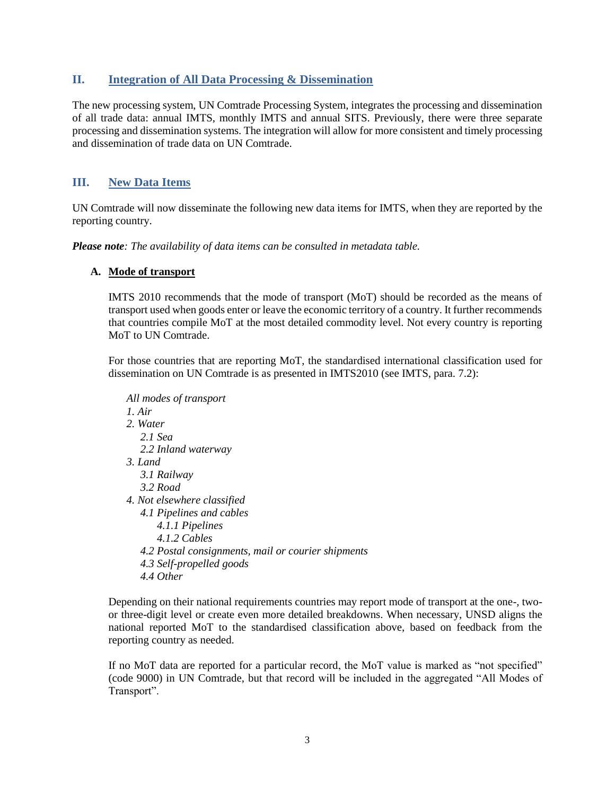## <span id="page-2-0"></span>**II. Integration of All Data Processing & Dissemination**

The new processing system, UN Comtrade Processing System, integrates the processing and dissemination of all trade data: annual IMTS, monthly IMTS and annual SITS. Previously, there were three separate processing and dissemination systems. The integration will allow for more consistent and timely processing and dissemination of trade data on UN Comtrade.

## <span id="page-2-1"></span>**III. New Data Items**

UN Comtrade will now disseminate the following new data items for IMTS, when they are reported by the reporting country.

*Please note: The availability of data items can be consulted in metadata table.*

## <span id="page-2-2"></span>**A. Mode of transport**

IMTS 2010 recommends that the mode of transport (MoT) should be recorded as the means of transport used when goods enter or leave the economic territory of a country. It further recommends that countries compile MoT at the most detailed commodity level. Not every country is reporting MoT to UN Comtrade.

For those countries that are reporting MoT, the standardised international classification used for dissemination on UN Comtrade is as presented in IMTS2010 (see IMTS, para. 7.2):

*All modes of transport 1. Air 2. Water 2.1 Sea 2.2 Inland waterway 3. Land 3.1 Railway 3.2 Road 4. Not elsewhere classified 4.1 Pipelines and cables 4.1.1 Pipelines 4.1.2 Cables 4.2 Postal consignments, mail or courier shipments 4.3 Self-propelled goods 4.4 Other*

Depending on their national requirements countries may report mode of transport at the one-, twoor three-digit level or create even more detailed breakdowns. When necessary, UNSD aligns the national reported MoT to the standardised classification above, based on feedback from the reporting country as needed.

If no MoT data are reported for a particular record, the MoT value is marked as "not specified" (code 9000) in UN Comtrade, but that record will be included in the aggregated "All Modes of Transport".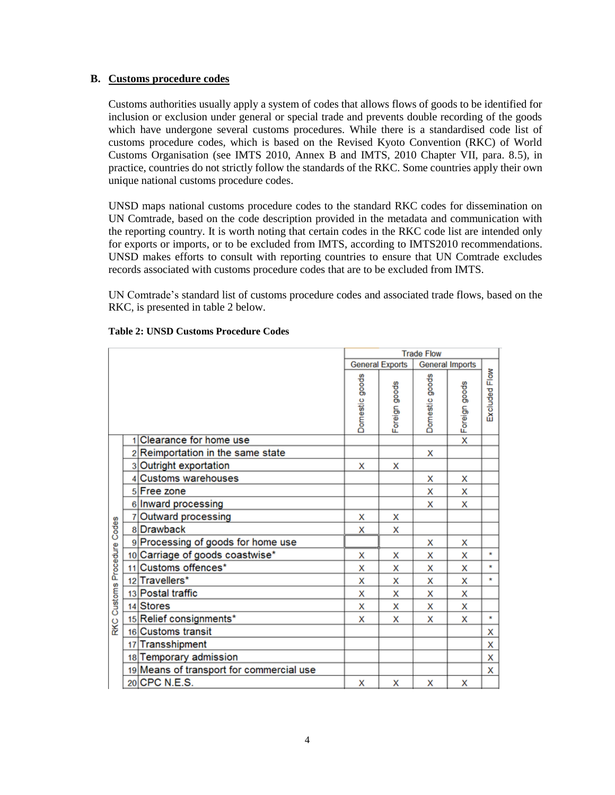#### <span id="page-3-0"></span>**B. Customs procedure codes**

Customs authorities usually apply a system of codes that allows flows of goods to be identified for inclusion or exclusion under general or special trade and prevents double recording of the goods which have undergone several customs procedures. While there is a standardised code list of customs procedure codes, which is based on the Revised Kyoto Convention (RKC) of World Customs Organisation (see IMTS 2010, Annex B and IMTS, 2010 Chapter VII, para. 8.5), in practice, countries do not strictly follow the standards of the RKC. Some countries apply their own unique national customs procedure codes.

UNSD maps national customs procedure codes to the standard RKC codes for dissemination on UN Comtrade, based on the code description provided in the metadata and communication with the reporting country. It is worth noting that certain codes in the RKC code list are intended only for exports or imports, or to be excluded from IMTS, according to IMTS2010 recommendations. UNSD makes efforts to consult with reporting countries to ensure that UN Comtrade excludes records associated with customs procedure codes that are to be excluded from IMTS.

UN Comtrade's standard list of customs procedure codes and associated trade flows, based on the RKC, is presented in table 2 below.

|                   |  |                                          | <b>Trade Flow</b>      |               |                        |                 |                  |
|-------------------|--|------------------------------------------|------------------------|---------------|------------------------|-----------------|------------------|
|                   |  |                                          | <b>General Exports</b> |               | <b>General Imports</b> |                 |                  |
|                   |  |                                          | Domestic goods         | Foreign goods | Domestic goods         | x Foreign goods | Flow<br>Excluded |
|                   |  | 1 Clearance for home use                 |                        |               |                        |                 |                  |
|                   |  | 2 Reimportation in the same state        |                        |               | х                      |                 |                  |
|                   |  | 3 Outright exportation                   | x                      | x             |                        |                 |                  |
|                   |  | 4 Customs warehouses                     |                        |               | x                      | x               |                  |
|                   |  | 5 Free zone                              |                        |               | x                      | x               |                  |
|                   |  | 6 Inward processing                      |                        |               | x                      | x               |                  |
|                   |  | 7 Outward processing                     | x                      | x             |                        |                 |                  |
| Codes             |  | 8 Drawback                               | x                      | x             |                        |                 |                  |
|                   |  | 9 Processing of goods for home use       |                        |               | x                      | x               |                  |
|                   |  | 10 Carriage of goods coastwise*          | x                      | x             | x                      | x               | $\star$          |
|                   |  | 11 Customs offences*                     | x                      | x             | x                      | x               | $\pmb{\times}$   |
|                   |  | 12 Travellers*                           | x                      | x             | x                      | x               | $\star$          |
| Customs Procedure |  | 13 Postal traffic                        | x                      | x             | x                      | x               |                  |
|                   |  | 14 Stores                                | x                      | x             | x                      | x               |                  |
| <b>RKC</b>        |  | 15 Relief consignments*                  | x                      | x             | x                      | x               | $\star$          |
|                   |  | 16 Customs transit                       |                        |               |                        |                 | x                |
|                   |  | 17 Transshipment                         |                        |               |                        |                 | X                |
|                   |  | 18 Temporary admission                   |                        |               |                        |                 | $\mathsf{x}$     |
|                   |  | 19 Means of transport for commercial use |                        |               |                        |                 | x                |
|                   |  | 20 CPC N.E.S.                            | x                      | x             | x                      | x               |                  |

#### **Table 2: UNSD Customs Procedure Codes**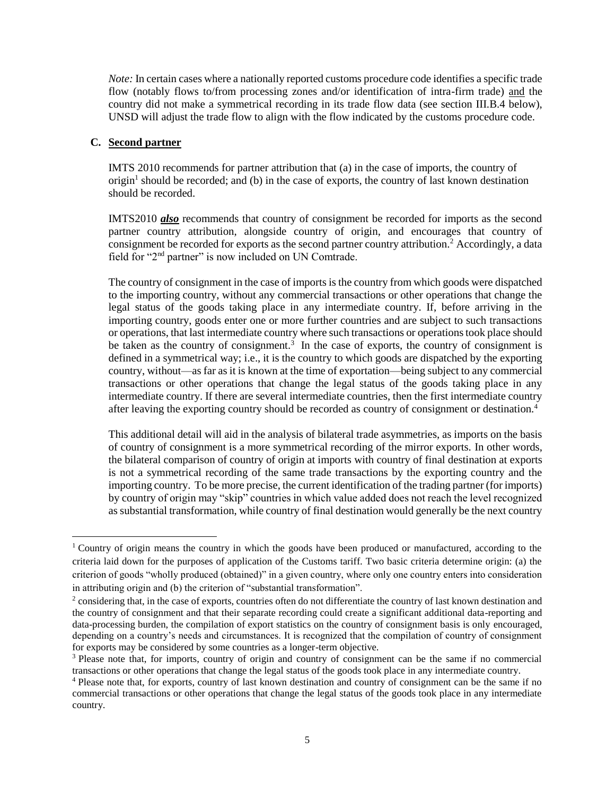*Note:* In certain cases where a nationally reported customs procedure code identifies a specific trade flow (notably flows to/from processing zones and/or identification of intra-firm trade) and the country did not make a symmetrical recording in its trade flow data (see section III.B.4 below), UNSD will adjust the trade flow to align with the flow indicated by the customs procedure code.

#### <span id="page-4-0"></span>**C. Second partner**

 $\overline{a}$ 

IMTS 2010 recommends for partner attribution that (a) in the case of imports, the country of origin<sup>1</sup> should be recorded; and (b) in the case of exports, the country of last known destination should be recorded.

IMTS2010 *also* recommends that country of consignment be recorded for imports as the second partner country attribution, alongside country of origin, and encourages that country of consignment be recorded for exports as the second partner country attribution.<sup>2</sup> Accordingly, a data field for "2nd partner" is now included on UN Comtrade.

The country of consignment in the case of imports is the country from which goods were dispatched to the importing country, without any commercial transactions or other operations that change the legal status of the goods taking place in any intermediate country. If, before arriving in the importing country, goods enter one or more further countries and are subject to such transactions or operations, that last intermediate country where such transactions or operations took place should be taken as the country of consignment.<sup>3</sup> In the case of exports, the country of consignment is defined in a symmetrical way; i.e., it is the country to which goods are dispatched by the exporting country, without—as far as it is known at the time of exportation—being subject to any commercial transactions or other operations that change the legal status of the goods taking place in any intermediate country. If there are several intermediate countries, then the first intermediate country after leaving the exporting country should be recorded as country of consignment or destination.<sup>4</sup>

This additional detail will aid in the analysis of bilateral trade asymmetries, as imports on the basis of country of consignment is a more symmetrical recording of the mirror exports. In other words, the bilateral comparison of country of origin at imports with country of final destination at exports is not a symmetrical recording of the same trade transactions by the exporting country and the importing country. To be more precise, the current identification of the trading partner (for imports) by country of origin may "skip" countries in which value added does not reach the level recognized as substantial transformation, while country of final destination would generally be the next country

<sup>1</sup> Country of origin means the country in which the goods have been produced or manufactured, according to the criteria laid down for the purposes of application of the Customs tariff. Two basic criteria determine origin: (a) the criterion of goods "wholly produced (obtained)" in a given country, where only one country enters into consideration in attributing origin and (b) the criterion of "substantial transformation".

 $2$  considering that, in the case of exports, countries often do not differentiate the country of last known destination and the country of consignment and that their separate recording could create a significant additional data-reporting and data-processing burden, the compilation of export statistics on the country of consignment basis is only encouraged, depending on a country's needs and circumstances. It is recognized that the compilation of country of consignment for exports may be considered by some countries as a longer-term objective.

<sup>3</sup> Please note that, for imports, country of origin and country of consignment can be the same if no commercial transactions or other operations that change the legal status of the goods took place in any intermediate country.

<sup>4</sup> Please note that, for exports, country of last known destination and country of consignment can be the same if no commercial transactions or other operations that change the legal status of the goods took place in any intermediate country.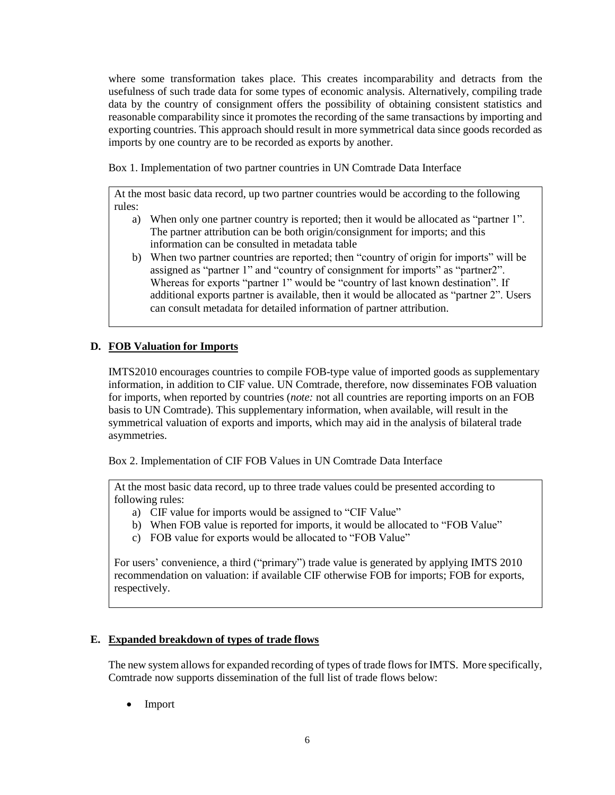where some transformation takes place. This creates incomparability and detracts from the usefulness of such trade data for some types of economic analysis. Alternatively, compiling trade data by the country of consignment offers the possibility of obtaining consistent statistics and reasonable comparability since it promotes the recording of the same transactions by importing and exporting countries. This approach should result in more symmetrical data since goods recorded as imports by one country are to be recorded as exports by another.

Box 1. Implementation of two partner countries in UN Comtrade Data Interface

At the most basic data record, up two partner countries would be according to the following rules:

- a) When only one partner country is reported; then it would be allocated as "partner 1". The partner attribution can be both origin/consignment for imports; and this information can be consulted in metadata table
- b) When two partner countries are reported; then "country of origin for imports" will be assigned as "partner 1" and "country of consignment for imports" as "partner2". Whereas for exports "partner 1" would be "country of last known destination". If additional exports partner is available, then it would be allocated as "partner 2". Users can consult metadata for detailed information of partner attribution.

# <span id="page-5-0"></span>**D. FOB Valuation for Imports**

IMTS2010 encourages countries to compile FOB-type value of imported goods as supplementary information, in addition to CIF value. UN Comtrade, therefore, now disseminates FOB valuation for imports, when reported by countries (*note:* not all countries are reporting imports on an FOB basis to UN Comtrade). This supplementary information, when available, will result in the symmetrical valuation of exports and imports, which may aid in the analysis of bilateral trade asymmetries.

Box 2. Implementation of CIF FOB Values in UN Comtrade Data Interface

At the most basic data record, up to three trade values could be presented according to following rules:

- a) CIF value for imports would be assigned to "CIF Value"
- b) When FOB value is reported for imports, it would be allocated to "FOB Value"
- c) FOB value for exports would be allocated to "FOB Value"

For users' convenience, a third ("primary") trade value is generated by applying IMTS 2010 recommendation on valuation: if available CIF otherwise FOB for imports; FOB for exports, respectively.

## <span id="page-5-1"></span>**E. Expanded breakdown of types of trade flows**

The new system allows for expanded recording of types of trade flows for IMTS. More specifically, Comtrade now supports dissemination of the full list of trade flows below:

• Import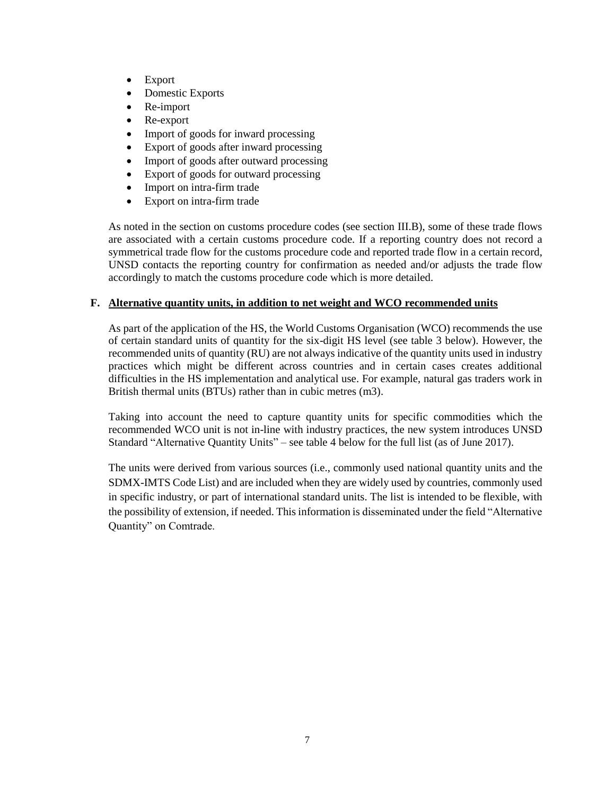- Export
- Domestic Exports
- Re-import
- Re-export
- Import of goods for inward processing
- Export of goods after inward processing
- Import of goods after outward processing
- Export of goods for outward processing
- Import on intra-firm trade
- Export on intra-firm trade

As noted in the section on customs procedure codes (see section [III](#page-2-1)[.B\)](#page-3-0), some of these trade flows are associated with a certain customs procedure code. If a reporting country does not record a symmetrical trade flow for the customs procedure code and reported trade flow in a certain record, UNSD contacts the reporting country for confirmation as needed and/or adjusts the trade flow accordingly to match the customs procedure code which is more detailed.

## <span id="page-6-0"></span>**F. Alternative quantity units, in addition to net weight and WCO recommended units**

As part of the application of the HS, the World Customs Organisation (WCO) recommends the use of certain standard units of quantity for the six-digit HS level (see table 3 below). However, the recommended units of quantity (RU) are not always indicative of the quantity units used in industry practices which might be different across countries and in certain cases creates additional difficulties in the HS implementation and analytical use. For example, natural gas traders work in British thermal units (BTUs) rather than in cubic metres (m3).

Taking into account the need to capture quantity units for specific commodities which the recommended WCO unit is not in-line with industry practices, the new system introduces UNSD Standard "Alternative Quantity Units" – see table 4 below for the full list (as of June 2017).

The units were derived from various sources (i.e., commonly used national quantity units and the SDMX-IMTS Code List) and are included when they are widely used by countries, commonly used in specific industry, or part of international standard units. The list is intended to be flexible, with the possibility of extension, if needed. This information is disseminated under the field "Alternative Quantity" on Comtrade.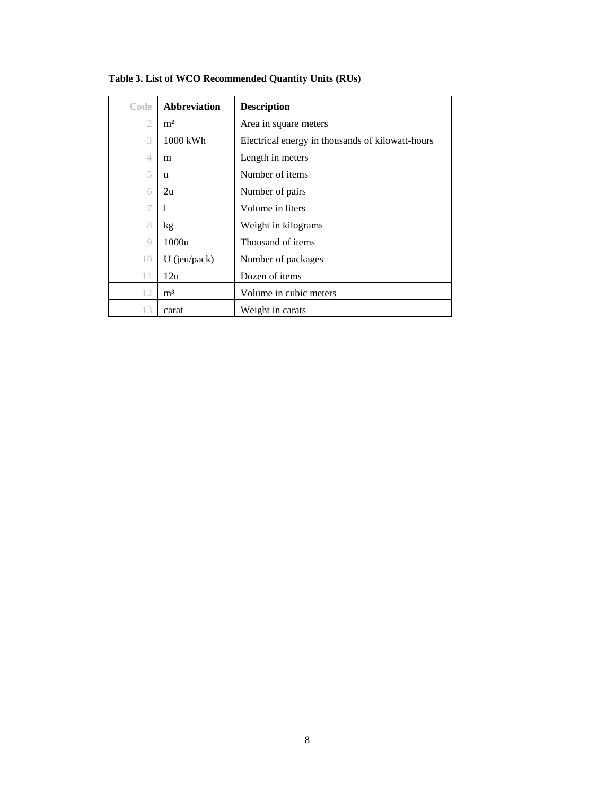| Code           | <b>Abbreviation</b> | <b>Description</b>                               |
|----------------|---------------------|--------------------------------------------------|
| 2              | m <sup>2</sup>      | Area in square meters                            |
| 3              | 1000 kWh            | Electrical energy in thousands of kilowatt-hours |
| 4              | m                   | Length in meters                                 |
| 5              | u                   | Number of items                                  |
| 6              | 2u                  | Number of pairs                                  |
|                | 1                   | Volume in liters                                 |
| 8              | kg                  | Weight in kilograms                              |
| 9              | 1000u               | Thousand of items                                |
| 1 <sub>0</sub> | $U$ (jeu/pack)      | Number of packages                               |
|                | 12u                 | Dozen of items                                   |
| 12             | m <sup>3</sup>      | Volume in cubic meters                           |
| 13             | carat               | Weight in carats                                 |

**Table 3. List of WCO Recommended Quantity Units (RUs)**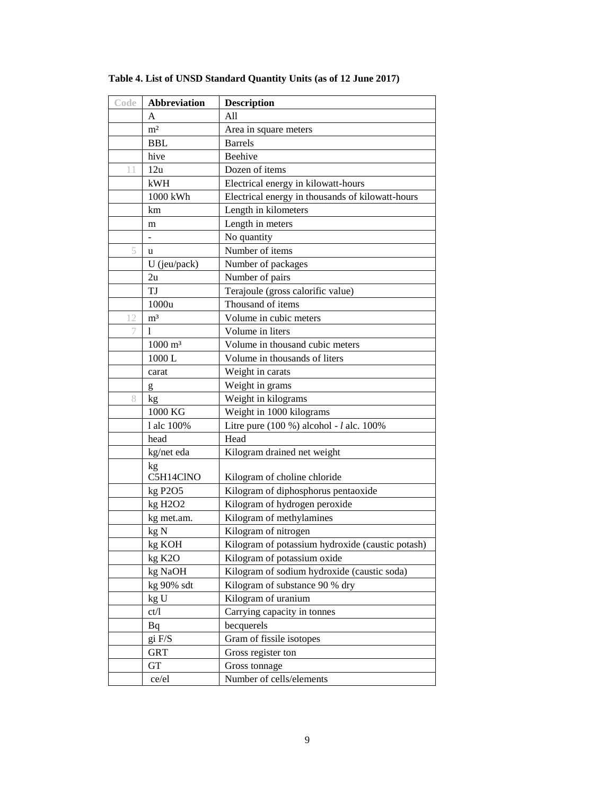| Code       | <b>Abbreviation</b>              | <b>Description</b>                               |
|------------|----------------------------------|--------------------------------------------------|
|            | A                                | All                                              |
|            | m <sup>2</sup>                   | Area in square meters                            |
| <b>BBL</b> |                                  | <b>Barrels</b>                                   |
|            | hive                             | Beehive                                          |
| 11         | 12u                              | Dozen of items                                   |
|            | kWH                              | Electrical energy in kilowatt-hours              |
|            | 1000 kWh                         | Electrical energy in thousands of kilowatt-hours |
|            | km                               | Length in kilometers                             |
|            | m                                | Length in meters                                 |
|            |                                  | No quantity                                      |
| 5          | u                                | Number of items                                  |
|            | $U$ (jeu/pack)                   | Number of packages                               |
|            | 2u                               | Number of pairs                                  |
|            | TJ                               | Terajoule (gross calorific value)                |
|            | 1000u                            | Thousand of items                                |
| 12         | m <sup>3</sup>                   | Volume in cubic meters                           |
| 7          | 1                                | Volume in liters                                 |
|            | $1000 \; \mathrm{m}^3$           | Volume in thousand cubic meters                  |
|            | 1000L                            | Volume in thousands of liters                    |
|            | carat                            | Weight in carats                                 |
|            | $\mathbf{g}$                     | Weight in grams                                  |
| 8          | kg                               | Weight in kilograms                              |
|            | 1000 KG                          | Weight in 1000 kilograms                         |
|            | 1 alc 100%                       | Litre pure $(100\%)$ alcohol - $l$ alc. $100\%$  |
|            | head                             | Head                                             |
|            | kg/net eda                       | Kilogram drained net weight                      |
|            | kg                               |                                                  |
|            | C5H14ClNO                        | Kilogram of choline chloride                     |
|            | kg P2O5                          | Kilogram of diphosphorus pentaoxide              |
|            | kg H <sub>2</sub> O <sub>2</sub> | Kilogram of hydrogen peroxide                    |
|            | kg met.am.                       | Kilogram of methylamines                         |
|            | kg N                             | Kilogram of nitrogen                             |
|            | kg KOH                           | Kilogram of potassium hydroxide (caustic potash) |
|            | kg K2O                           | Kilogram of potassium oxide                      |
|            | kg NaOH                          | Kilogram of sodium hydroxide (caustic soda)      |
|            | kg 90% sdt                       | Kilogram of substance 90 % dry                   |
|            | kg U                             | Kilogram of uranium                              |
|            | ct/1                             | Carrying capacity in tonnes                      |
|            | Bq                               | becquerels<br>Gram of fissile isotopes           |
|            | gi F/S<br><b>GRT</b>             | Gross register ton                               |
|            | <b>GT</b>                        |                                                  |
|            |                                  | Gross tonnage<br>Number of cells/elements        |
|            | ce/el                            |                                                  |

**Table 4. List of UNSD Standard Quantity Units (as of 12 June 2017)**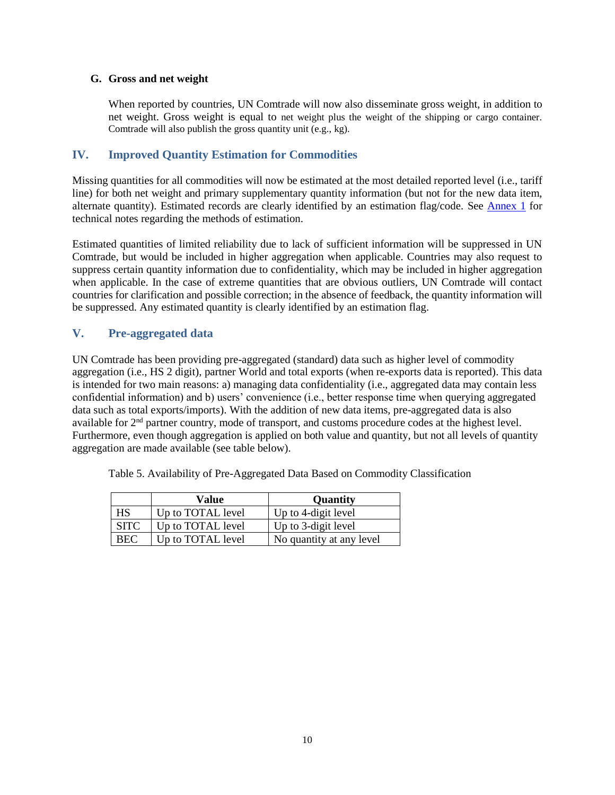## <span id="page-9-0"></span>**G. Gross and net weight**

When reported by countries, UN Comtrade will now also disseminate gross weight, in addition to net weight. Gross weight is equal to net weight plus the weight of the shipping or cargo container. Comtrade will also publish the gross quantity unit (e.g., kg).

# <span id="page-9-1"></span>**IV. Improved Quantity Estimation for Commodities**

Missing quantities for all commodities will now be estimated at the most detailed reported level (i.e., tariff line) for both net weight and primary supplementary quantity information (but not for the new data item, alternate quantity). Estimated records are clearly identified by an estimation flag/code. See [Annex 1](#page-11-0) for technical notes regarding the methods of estimation.

Estimated quantities of limited reliability due to lack of sufficient information will be suppressed in UN Comtrade, but would be included in higher aggregation when applicable. Countries may also request to suppress certain quantity information due to confidentiality, which may be included in higher aggregation when applicable. In the case of extreme quantities that are obvious outliers, UN Comtrade will contact countries for clarification and possible correction; in the absence of feedback, the quantity information will be suppressed. Any estimated quantity is clearly identified by an estimation flag.

# <span id="page-9-2"></span>**V. Pre-aggregated data**

UN Comtrade has been providing pre-aggregated (standard) data such as higher level of commodity aggregation (i.e., HS 2 digit), partner World and total exports (when re-exports data is reported). This data is intended for two main reasons: a) managing data confidentiality (i.e., aggregated data may contain less confidential information) and b) users' convenience (i.e., better response time when querying aggregated data such as total exports/imports). With the addition of new data items, pre-aggregated data is also available for 2nd partner country, mode of transport, and customs procedure codes at the highest level. Furthermore, even though aggregation is applied on both value and quantity, but not all levels of quantity aggregation are made available (see table below).

Table 5. Availability of Pre-Aggregated Data Based on Commodity Classification

|             | Value             | Quantity                 |
|-------------|-------------------|--------------------------|
| HS          | Up to TOTAL level | Up to 4-digit level      |
| <b>SITC</b> | Up to TOTAL level | Up to 3-digit level      |
| <b>BEC</b>  | Up to TOTAL level | No quantity at any level |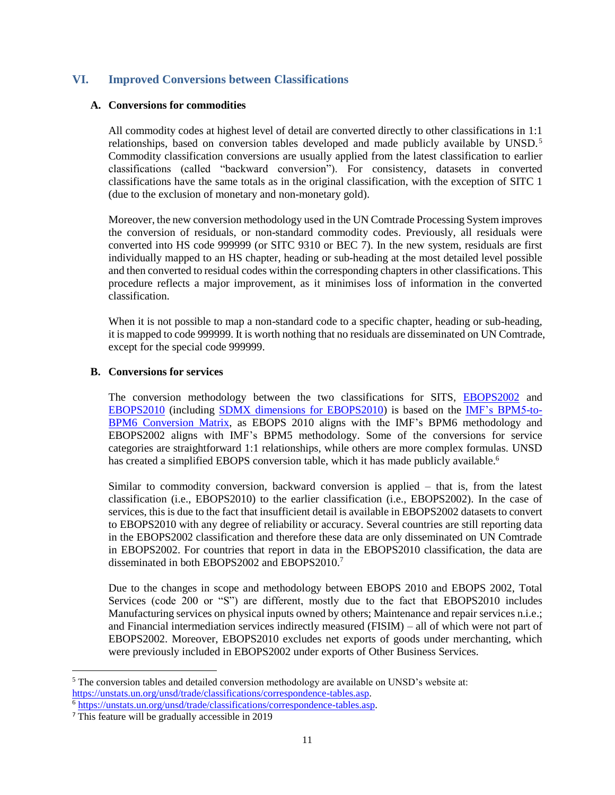## <span id="page-10-0"></span>**VI. Improved Conversions between Classifications**

#### <span id="page-10-1"></span>**A. Conversions for commodities**

All commodity codes at highest level of detail are converted directly to other classifications in 1:1 relationships, based on conversion tables developed and made publicly available by UNSD.<sup>5</sup> Commodity classification conversions are usually applied from the latest classification to earlier classifications (called "backward conversion"). For consistency, datasets in converted classifications have the same totals as in the original classification, with the exception of SITC 1 (due to the exclusion of monetary and non-monetary gold).

Moreover, the new conversion methodology used in the UN Comtrade Processing System improves the conversion of residuals, or non-standard commodity codes. Previously, all residuals were converted into HS code 999999 (or SITC 9310 or BEC 7). In the new system, residuals are first individually mapped to an HS chapter, heading or sub-heading at the most detailed level possible and then converted to residual codes within the corresponding chapters in other classifications. This procedure reflects a major improvement, as it minimises loss of information in the converted classification.

When it is not possible to map a non-standard code to a specific chapter, heading or sub-heading, it is mapped to code 999999. It is worth nothing that no residuals are disseminated on UN Comtrade, except for the special code 999999.

#### <span id="page-10-2"></span>**B. Conversions for services**

The conversion methodology between the two classifications for SITS, **[EBOPS2002](https://unstats.un.org/unsd/tradeserv/db/docs/ebops2002_eng.pdf)** and [EBOPS2010](https://unstats.un.org/unsd/tradeserv/db/docs/msits2010_english.pdf) (including [SDMX dimensions for EBOPS2010\)](https://www.oecd.org/std/its/EBOPS-2010.pdf) is based on the [IMF's BPM5-to-](http://www.imf.org/external/pubs/ft/bop/2008/08-10b.pdf)[BPM6 Conversion Matrix,](http://www.imf.org/external/pubs/ft/bop/2008/08-10b.pdf) as EBOPS 2010 aligns with the IMF's BPM6 methodology and EBOPS2002 aligns with IMF's BPM5 methodology. Some of the conversions for service categories are straightforward 1:1 relationships, while others are more complex formulas. UNSD has created a simplified EBOPS conversion table, which it has made publicly available.<sup>6</sup>

Similar to commodity conversion, backward conversion is applied – that is, from the latest classification (i.e., EBOPS2010) to the earlier classification (i.e., EBOPS2002). In the case of services, this is due to the fact that insufficient detail is available in EBOPS2002 datasets to convert to EBOPS2010 with any degree of reliability or accuracy. Several countries are still reporting data in the EBOPS2002 classification and therefore these data are only disseminated on UN Comtrade in EBOPS2002. For countries that report in data in the EBOPS2010 classification, the data are disseminated in both EBOPS2002 and EBOPS2010.<sup>7</sup>

Due to the changes in scope and methodology between EBOPS 2010 and EBOPS 2002, Total Services (code 200 or "S") are different, mostly due to the fact that EBOPS2010 includes Manufacturing services on physical inputs owned by others; Maintenance and repair services n.i.e.; and Financial intermediation services indirectly measured (FISIM) – all of which were not part of EBOPS2002. Moreover, EBOPS2010 excludes net exports of goods under merchanting, which were previously included in EBOPS2002 under exports of Other Business Services.

 $\overline{a}$ 

 $5$  The conversion tables and detailed conversion methodology are available on UNSD's website at: [https://unstats.un.org/unsd/trade/classifications/correspondence-tables.asp.](https://unstats.un.org/unsd/trade/classifications/correspondence-tables.asp)

<sup>6</sup> [https://unstats.un.org/unsd/trade/classifications/correspondence-tables.asp.](https://unstats.un.org/unsd/trade/classifications/correspondence-tables.asp)

<sup>7</sup> This feature will be gradually accessible in 2019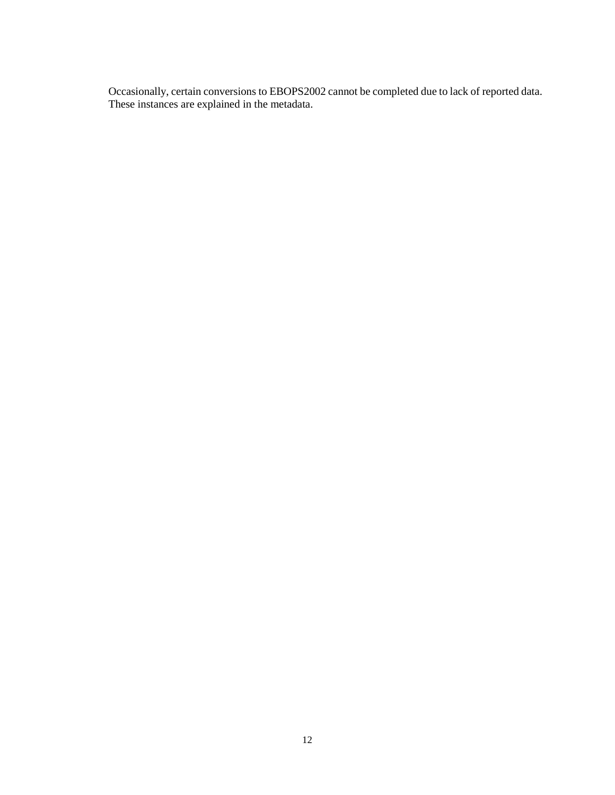<span id="page-11-0"></span>Occasionally, certain conversions to EBOPS2002 cannot be completed due to lack of reported data. These instances are explained in the metadata.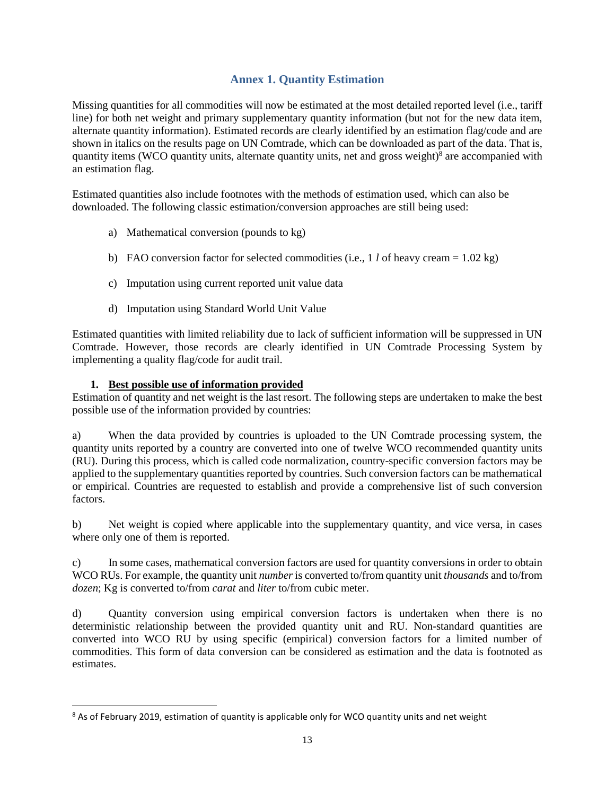# **Annex 1. Quantity Estimation**

<span id="page-12-0"></span>Missing quantities for all commodities will now be estimated at the most detailed reported level (i.e., tariff line) for both net weight and primary supplementary quantity information (but not for the new data item, alternate quantity information). Estimated records are clearly identified by an estimation flag/code and are shown in italics on the results page on UN Comtrade, which can be downloaded as part of the data. That is, quantity items (WCO quantity units, alternate quantity units, net and gross weight)<sup>8</sup> are accompanied with an estimation flag.

Estimated quantities also include footnotes with the methods of estimation used, which can also be downloaded. The following classic estimation/conversion approaches are still being used:

- a) Mathematical conversion (pounds to kg)
- b) FAO conversion factor for selected commodities (i.e., 1 *l* of heavy cream =  $1.02 \text{ kg}$ )
- c) Imputation using current reported unit value data
- d) Imputation using Standard World Unit Value

Estimated quantities with limited reliability due to lack of sufficient information will be suppressed in UN Comtrade. However, those records are clearly identified in UN Comtrade Processing System by implementing a quality flag/code for audit trail.

## **1. Best possible use of information provided**

 $\overline{\phantom{a}}$ 

Estimation of quantity and net weight is the last resort. The following steps are undertaken to make the best possible use of the information provided by countries:

a) When the data provided by countries is uploaded to the UN Comtrade processing system, the quantity units reported by a country are converted into one of twelve WCO recommended quantity units (RU). During this process, which is called code normalization, country-specific conversion factors may be applied to the supplementary quantities reported by countries. Such conversion factors can be mathematical or empirical. Countries are requested to establish and provide a comprehensive list of such conversion factors.

b) Net weight is copied where applicable into the supplementary quantity, and vice versa, in cases where only one of them is reported.

c) In some cases, mathematical conversion factors are used for quantity conversions in order to obtain WCO RUs. For example, the quantity unit *number* is converted to/from quantity unit *thousands* and to/from *dozen*; Kg is converted to/from *carat* and *liter* to/from cubic meter.

d) Quantity conversion using empirical conversion factors is undertaken when there is no deterministic relationship between the provided quantity unit and RU. Non-standard quantities are converted into WCO RU by using specific (empirical) conversion factors for a limited number of commodities. This form of data conversion can be considered as estimation and the data is footnoted as estimates.

<sup>&</sup>lt;sup>8</sup> As of February 2019, estimation of quantity is applicable only for WCO quantity units and net weight